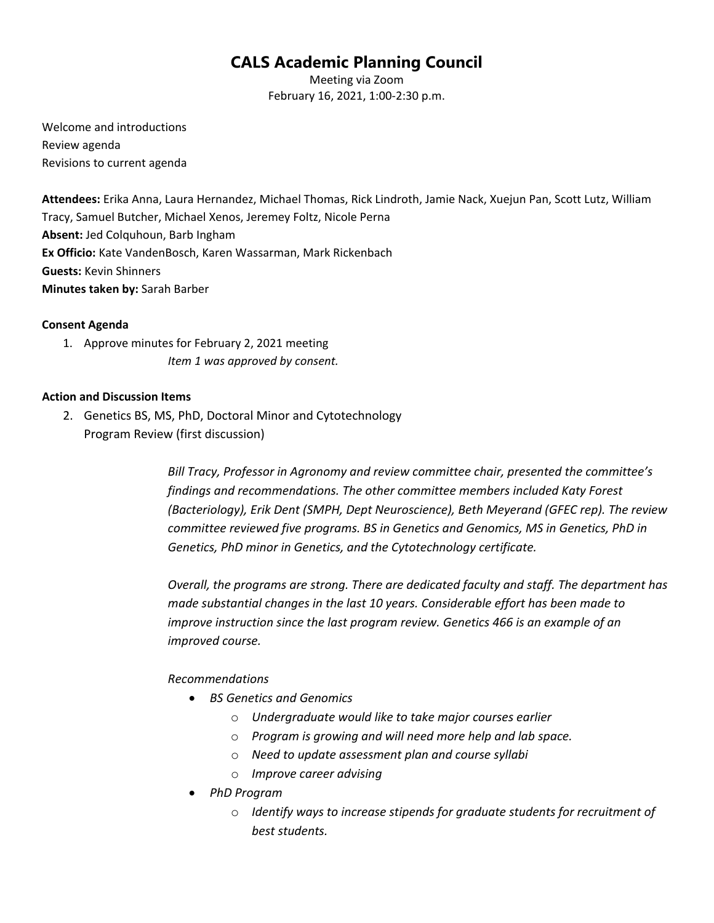# **CALS Academic Planning Council**

Meeting via Zoom February 16, 2021, 1:00-2:30 p.m.

Welcome and introductions Review agenda Revisions to current agenda

**Attendees:** Erika Anna, Laura Hernandez, Michael Thomas, Rick Lindroth, Jamie Nack, Xuejun Pan, Scott Lutz, William Tracy, Samuel Butcher, Michael Xenos, Jeremey Foltz, Nicole Perna **Absent:** Jed Colquhoun, Barb Ingham **Ex Officio:** Kate VandenBosch, Karen Wassarman, Mark Rickenbach **Guests:** Kevin Shinners **Minutes taken by:** Sarah Barber

#### **Consent Agenda**

1. Approve minutes for February 2, 2021 meeting *Item 1 was approved by consent.*

#### **Action and Discussion Items**

2. Genetics BS, MS, PhD, Doctoral Minor and Cytotechnology Program Review (first discussion)

> *Bill Tracy, Professor in Agronomy and review committee chair, presented the committee's findings and recommendations. The other committee members included Katy Forest (Bacteriology), Erik Dent (SMPH, Dept Neuroscience), Beth Meyerand (GFEC rep). The review committee reviewed five programs. BS in Genetics and Genomics, MS in Genetics, PhD in Genetics, PhD minor in Genetics, and the Cytotechnology certificate.*

> *Overall, the programs are strong. There are dedicated faculty and staff. The department has made substantial changes in the last 10 years. Considerable effort has been made to improve instruction since the last program review. Genetics 466 is an example of an improved course.*

## *Recommendations*

- *BS Genetics and Genomics*
	- o *Undergraduate would like to take major courses earlier*
	- o *Program is growing and will need more help and lab space.*
	- o *Need to update assessment plan and course syllabi*
	- o *Improve career advising*
- *PhD Program*
	- o *Identify ways to increase stipends for graduate students for recruitment of best students.*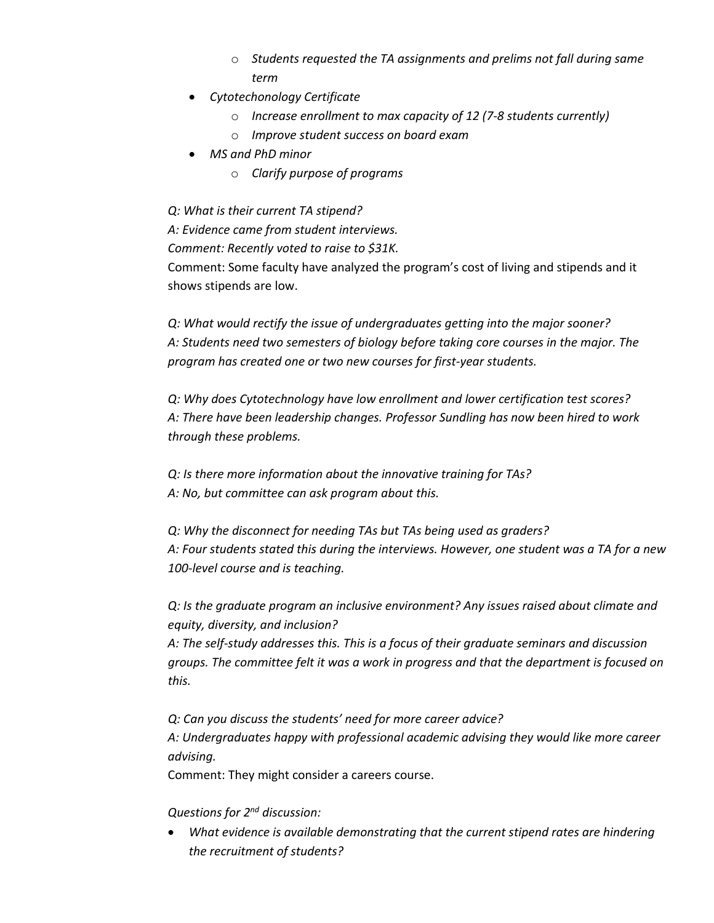- o *Students requested the TA assignments and prelims not fall during same term*
- *Cytotechonology Certificate*
	- o *Increase enrollment to max capacity of 12 (7-8 students currently)*
	- o *Improve student success on board exam*
- *MS and PhD minor*
	- o *Clarify purpose of programs*

*Q: What is their current TA stipend?*

*A: Evidence came from student interviews.* 

*Comment: Recently voted to raise to \$31K.* 

Comment: Some faculty have analyzed the program's cost of living and stipends and it shows stipends are low.

*Q: What would rectify the issue of undergraduates getting into the major sooner? A: Students need two semesters of biology before taking core courses in the major. The program has created one or two new courses for first-year students.*

*Q: Why does Cytotechnology have low enrollment and lower certification test scores? A: There have been leadership changes. Professor Sundling has now been hired to work through these problems.* 

*Q: Is there more information about the innovative training for TAs? A: No, but committee can ask program about this.*

*Q: Why the disconnect for needing TAs but TAs being used as graders? A: Four students stated this during the interviews. However, one student was a TA for a new 100-level course and is teaching.*

*Q: Is the graduate program an inclusive environment? Any issues raised about climate and equity, diversity, and inclusion?* 

*A: The self-study addresses this. This is a focus of their graduate seminars and discussion groups. The committee felt it was a work in progress and that the department is focused on this.* 

*Q: Can you discuss the students' need for more career advice? A: Undergraduates happy with professional academic advising they would like more career advising.* 

Comment: They might consider a careers course.

## *Questions for 2nd discussion:*

• *What evidence is available demonstrating that the current stipend rates are hindering the recruitment of students?*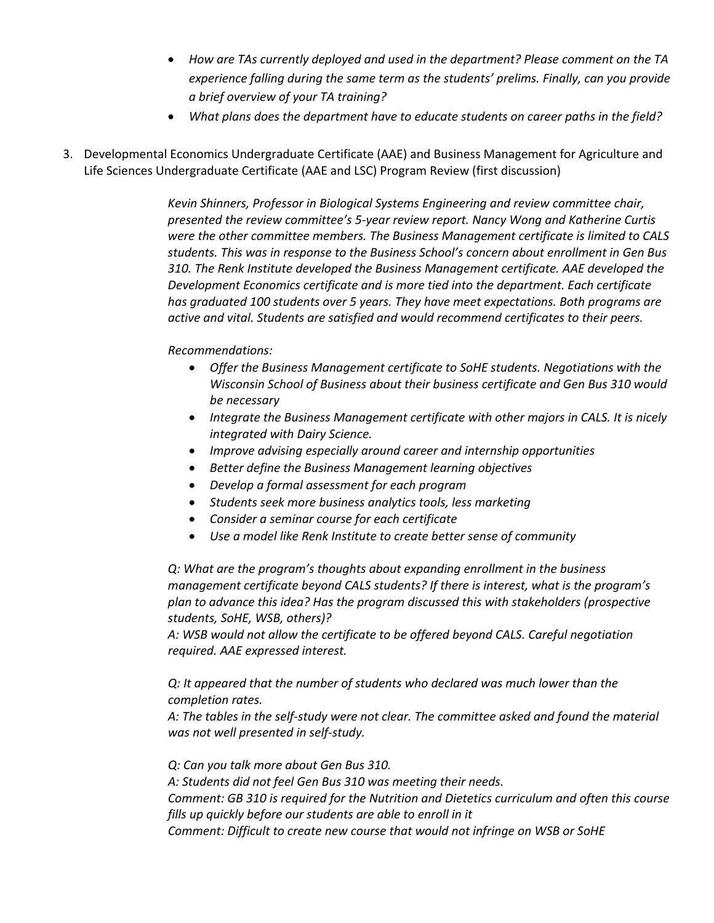- *How are TAs currently deployed and used in the department? Please comment on the TA experience falling during the same term as the students' prelims. Finally, can you provide a brief overview of your TA training?*
- *What plans does the department have to educate students on career paths in the field?*
- 3. Developmental Economics Undergraduate Certificate (AAE) and Business Management for Agriculture and Life Sciences Undergraduate Certificate (AAE and LSC) Program Review (first discussion)

*Kevin Shinners, Professor in Biological Systems Engineering and review committee chair, presented the review committee's 5-year review report. Nancy Wong and Katherine Curtis were the other committee members. The Business Management certificate is limited to CALS students. This was in response to the Business School's concern about enrollment in Gen Bus 310. The Renk Institute developed the Business Management certificate. AAE developed the Development Economics certificate and is more tied into the department. Each certificate has graduated 100 students over 5 years. They have meet expectations. Both programs are active and vital. Students are satisfied and would recommend certificates to their peers.* 

#### *Recommendations:*

- *Offer the Business Management certificate to SoHE students. Negotiations with the Wisconsin School of Business about their business certificate and Gen Bus 310 would be necessary*
- *Integrate the Business Management certificate with other majors in CALS. It is nicely integrated with Dairy Science.*
- *Improve advising especially around career and internship opportunities*
- *Better define the Business Management learning objectives*
- *Develop a formal assessment for each program*
- *Students seek more business analytics tools, less marketing*
- *Consider a seminar course for each certificate*
- *Use a model like Renk Institute to create better sense of community*

*Q: What are the program's thoughts about expanding enrollment in the business management certificate beyond CALS students? If there is interest, what is the program's plan to advance this idea? Has the program discussed this with stakeholders (prospective students, SoHE, WSB, others)?* 

*A: WSB would not allow the certificate to be offered beyond CALS. Careful negotiation required. AAE expressed interest.* 

*Q: It appeared that the number of students who declared was much lower than the completion rates.* 

*A: The tables in the self-study were not clear. The committee asked and found the material was not well presented in self-study.*

*Q: Can you talk more about Gen Bus 310.* 

*A: Students did not feel Gen Bus 310 was meeting their needs.* 

*Comment: GB 310 is required for the Nutrition and Dietetics curriculum and often this course fills up quickly before our students are able to enroll in it*

*Comment: Difficult to create new course that would not infringe on WSB or SoHE*